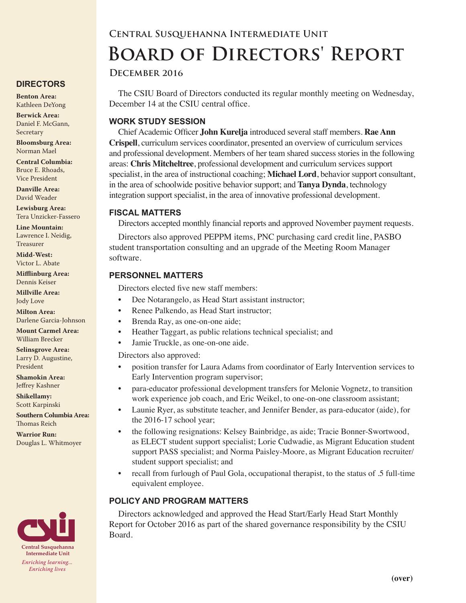# **Central Susquehanna Intermediate Unit Board of Directors' Report**

#### **December 2016**

The CSIU Board of Directors conducted its regular monthly meeting on Wednesday, December 14 at the CSIU central office.

#### **WORK STUDY SESSION**

Chief Academic Officer **John Kurelja** introduced several staff members. **Rae Ann Crispell**, curriculum services coordinator, presented an overview of curriculum services and professional development. Members of her team shared success stories in the following areas: **Chris Mitcheltree**, professional development and curriculum services support specialist, in the area of instructional coaching; **Michael Lord**, behavior support consultant, in the area of schoolwide positive behavior support; and **Tanya Dynda**, technology integration support specialist, in the area of innovative professional development.

#### **FISCAL MATTERS**

Directors accepted monthly financial reports and approved November payment requests.

Directors also approved PEPPM items, PNC purchasing card credit line, PASBO student transportation consulting and an upgrade of the Meeting Room Manager software.

#### **PERSONNEL MATTERS**

Directors elected five new staff members:

- Dee Notarangelo, as Head Start assistant instructor;
- Renee Palkendo, as Head Start instructor;
- Brenda Ray, as one-on-one aide;
- Heather Taggart, as public relations technical specialist; and
- Jamie Truckle, as one-on-one aide.

Directors also approved:

- position transfer for Laura Adams from coordinator of Early Intervention services to Early Intervention program supervisor;
- para-educator professional development transfers for Melonie Vognetz, to transition work experience job coach, and Eric Weikel, to one-on-one classroom assistant;
- Launie Ryer, as substitute teacher, and Jennifer Bender, as para-educator (aide), for the 2016-17 school year;
- the following resignations: Kelsey Bainbridge, as aide; Tracie Bonner-Swortwood, as ELECT student support specialist; Lorie Cudwadie, as Migrant Education student support PASS specialist; and Norma Paisley-Moore, as Migrant Education recruiter/ student support specialist; and
- recall from furlough of Paul Gola, occupational therapist, to the status of .5 full-time equivalent employee.

## **POLICY AND PROGRAM MATTERS**

Directors acknowledged and approved the Head Start/Early Head Start Monthly Report for October 2016 as part of the shared governance responsibility by the CSIU Board.

## **DIRECTORS**

**Benton Area:** Kathleen DeYong

**Berwick Area:** Daniel F. McGann, Secretary

**Bloomsburg Area:**  Norman Mael

**Central Columbia:** Bruce E. Rhoads, Vice President

**Danville Area:** David Weader

**Lewisburg Area:** Tera Unzicker-Fassero

**Line Mountain:** Lawrence I. Neidig, Treasurer

**Midd-West:**  Victor L. Abate

**Mifflinburg Area:** Dennis Keiser

**Millville Area:** Jody Love

**Milton Area:** Darlene Garcia-Johnson

**Mount Carmel Area:**  William Brecker

**Selinsgrove Area:**  Larry D. Augustine, President

**Shamokin Area:** Jeffrey Kashner

**Shikellamy:**  Scott Karpinski

**Southern Columbia Area:** Thomas Reich

**Warrior Run:** Douglas L. Whitmoyer